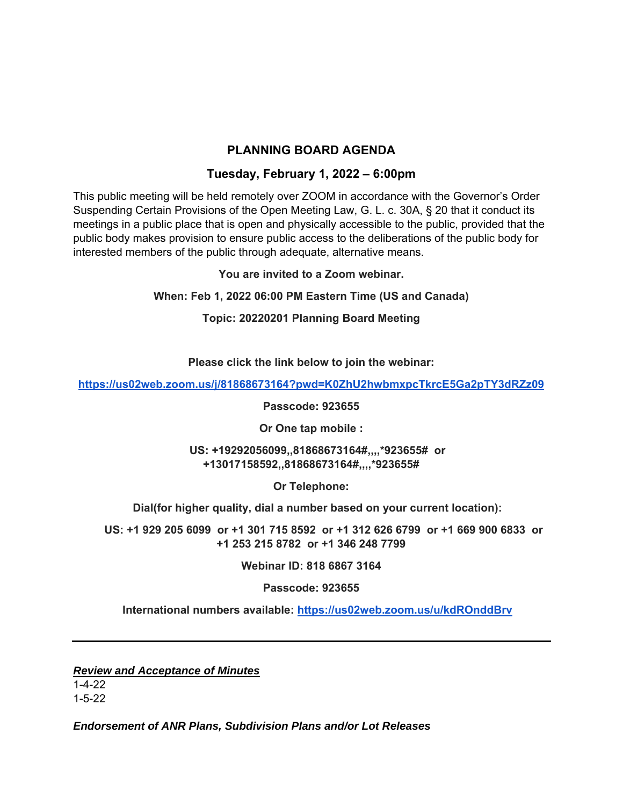## **PLANNING BOARD AGENDA**

## **Tuesday, February 1, 2022 – 6:00pm**

This public meeting will be held remotely over ZOOM in accordance with the Governor's Order Suspending Certain Provisions of the Open Meeting Law, G. L. c. 30A, § 20 that it conduct its meetings in a public place that is open and physically accessible to the public, provided that the public body makes provision to ensure public access to the deliberations of the public body for interested members of the public through adequate, alternative means.

**You are invited to a Zoom webinar.** 

**When: Feb 1, 2022 06:00 PM Eastern Time (US and Canada)** 

**Topic: 20220201 Planning Board Meeting** 

**Please click the link below to join the webinar:** 

**https://us02web.zoom.us/j/81868673164?pwd=K0ZhU2hwbmxpcTkrcE5Ga2pTY3dRZz09** 

**Passcode: 923655** 

**Or One tap mobile :** 

 **US: +19292056099,,81868673164#,,,,\*923655# or +13017158592,,81868673164#,,,,\*923655#** 

**Or Telephone:** 

 **Dial(for higher quality, dial a number based on your current location):** 

 **US: +1 929 205 6099 or +1 301 715 8592 or +1 312 626 6799 or +1 669 900 6833 or +1 253 215 8782 or +1 346 248 7799** 

**Webinar ID: 818 6867 3164** 

**Passcode: 923655** 

 **International numbers available: https://us02web.zoom.us/u/kdROnddBrv**

*Review and Acceptance of Minutes* 

1-4-22 1-5-22

*Endorsement of ANR Plans, Subdivision Plans and/or Lot Releases*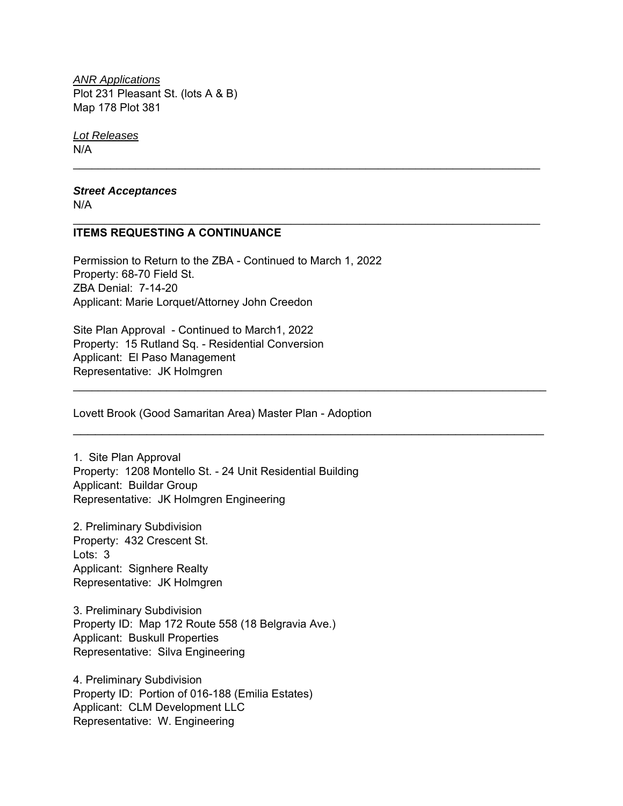*ANR Applications*  Plot 231 Pleasant St. (lots A & B) Map 178 Plot 381

*Lot Releases*  N/A

*Street Acceptances*  N/A

## **ITEMS REQUESTING A CONTINUANCE**

Permission to Return to the ZBA - Continued to March 1, 2022 Property: 68-70 Field St. ZBA Denial: 7-14-20 Applicant: Marie Lorquet/Attorney John Creedon

 $\mathcal{L}_\text{max}$  and  $\mathcal{L}_\text{max}$  and  $\mathcal{L}_\text{max}$  and  $\mathcal{L}_\text{max}$  and  $\mathcal{L}_\text{max}$  and  $\mathcal{L}_\text{max}$ 

\_\_\_\_\_\_\_\_\_\_\_\_\_\_\_\_\_\_\_\_\_\_\_\_\_\_\_\_\_\_\_\_\_\_\_\_\_\_\_\_\_\_\_\_\_\_\_\_\_\_\_\_\_\_\_\_\_\_\_\_\_\_\_\_\_\_\_\_\_\_\_\_\_\_\_

 $\mathcal{L}_\mathcal{L} = \mathcal{L}_\mathcal{L} = \mathcal{L}_\mathcal{L} = \mathcal{L}_\mathcal{L} = \mathcal{L}_\mathcal{L} = \mathcal{L}_\mathcal{L} = \mathcal{L}_\mathcal{L} = \mathcal{L}_\mathcal{L} = \mathcal{L}_\mathcal{L} = \mathcal{L}_\mathcal{L} = \mathcal{L}_\mathcal{L} = \mathcal{L}_\mathcal{L} = \mathcal{L}_\mathcal{L} = \mathcal{L}_\mathcal{L} = \mathcal{L}_\mathcal{L} = \mathcal{L}_\mathcal{L} = \mathcal{L}_\mathcal{L}$ 

\_\_\_\_\_\_\_\_\_\_\_\_\_\_\_\_\_\_\_\_\_\_\_\_\_\_\_\_\_\_\_\_\_\_\_\_\_\_\_\_\_\_\_\_\_\_\_\_\_\_\_\_\_\_\_\_\_\_\_\_\_\_\_\_

Site Plan Approval - Continued to March1, 2022 Property: 15 Rutland Sq. - Residential Conversion Applicant: El Paso Management Representative: JK Holmgren

Lovett Brook (Good Samaritan Area) Master Plan - Adoption

1. Site Plan Approval Property: 1208 Montello St. - 24 Unit Residential Building Applicant: Buildar Group Representative: JK Holmgren Engineering

2. Preliminary Subdivision Property: 432 Crescent St. Lots: 3 Applicant: Signhere Realty Representative: JK Holmgren

3. Preliminary Subdivision Property ID: Map 172 Route 558 (18 Belgravia Ave.) Applicant: Buskull Properties Representative: Silva Engineering

4. Preliminary Subdivision Property ID: Portion of 016-188 (Emilia Estates) Applicant: CLM Development LLC Representative: W. Engineering